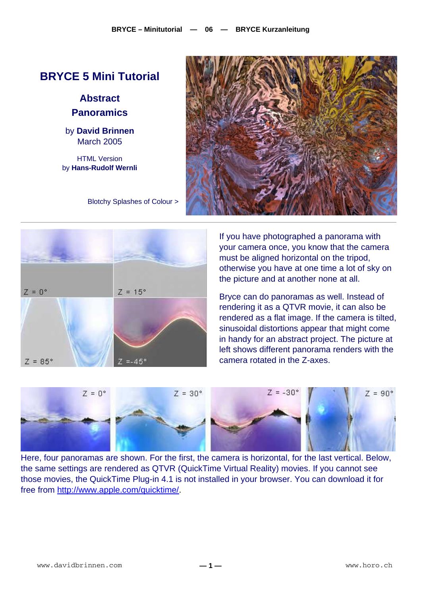# **BRYCE 5 Mini Tutorial**

**Abstract Panoramics** 

by **David Brinnen** March 2005

HTML Version by **Hans-Rudolf Wernli**



Blotchy Splashes of Colour >



If you have photographed a panorama with your camera once, you know that the camera must be aligned horizontal on the tripod, otherwise you have at one time a lot of sky on the picture and at another none at all.

Bryce can do panoramas as well. Instead of rendering it as a QTVR movie, it can also be rendered as a flat image. If the camera is tilted, sinusoidal distortions appear that might come in handy for an abstract project. The picture at left shows different panorama renders with the camera rotated in the Z-axes.



Here, four panoramas are shown. For the first, the camera is horizontal, for the last vertical. Below, the same settings are rendered as QTVR (QuickTime Virtual Reality) movies. If you cannot see those movies, the QuickTime Plug-in 4.1 is not installed in your browser. You can download it for free from [http://www.apple.com/quicktime/.](http://www.apple.com/quicktime)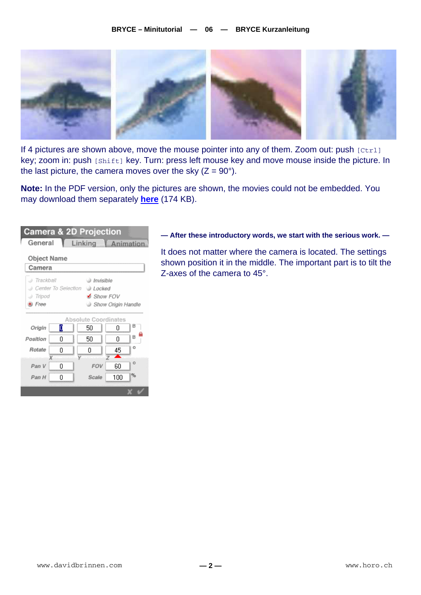

If 4 pictures are shown above, move the mouse pointer into any of them. Zoom out: push  $[Ctr1]$ key; zoom in: push [Shift] key. Turn: press left mouse key and move mouse inside the picture. In the last picture, the camera moves over the sky  $(Z = 90^{\circ})$ .

**Note:** In the PDF version, only the pictures are shown, the movies could not be embedded. You may download them separately **[here](http://www.horo.ch/raytracing/tuts/pdf/showz.zip)** (174 KB).

| <b>Camera &amp; 2D Projection</b> |                                                                                                                 |        |         |                  |   |  |  |  |
|-----------------------------------|-----------------------------------------------------------------------------------------------------------------|--------|---------|------------------|---|--|--|--|
|                                   | General                                                                                                         |        | Linking | <b>Animation</b> |   |  |  |  |
|                                   | Object Name<br>Camera                                                                                           |        |         |                  |   |  |  |  |
|                                   | ) Trackball<br>al Invisible<br>Center To Selection @ Locked<br>Show FOV<br>Tripod<br>Free<br>Show Origin Handle |        |         |                  |   |  |  |  |
| Absolute Coordinates              |                                                                                                                 |        |         |                  |   |  |  |  |
|                                   | Origin                                                                                                          | о      | 50      | n                | в |  |  |  |
|                                   | Position                                                                                                        | n      | 50      | n                | R |  |  |  |
|                                   | Rotate                                                                                                          | n<br>χ | n       | 45               | o |  |  |  |
|                                   | Pan V                                                                                                           | ۵      | FOV     | 60               | o |  |  |  |
|                                   | Pan H                                                                                                           | 0      | Scale   | 100              | % |  |  |  |
|                                   |                                                                                                                 |        |         |                  |   |  |  |  |

## **— After these introductory words, we start with the serious work. —**

It does not matter where the camera is located. The settings shown position it in the middle. The important part is to tilt the Z-axes of the camera to 45°.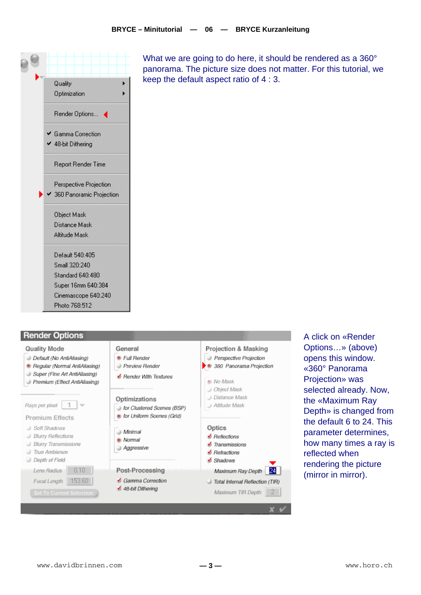

### **Render Options**



- Default (No AntiAliasing)
- <sup>®</sup> Regular (Normal AntiAliasing)
- Super (Fine Art AntiAliasing)
- Premium (Effect AntiAliasing)

Rays per pixel  $\overline{1}$ 

**Premium Effects** 

- J Soft Shadows
- <sup>3</sup> Blurry Reflections
- Blurry Transmissions

Lens Radius 0.10

Focal Length 153.60

Set To Current Selection

- True Ambience
- @ Depth of Field

**Preview Render** Bender With Textures

General C Full Render

#### Optimizations for Clustered Scenes (BSP)

in for Uniform Scenes (Grid)

## a Minimal

- @ Normal
- Aggressive
- 

#### Post-Processing Gamma Correction

- 48-bit Dithering
- Projection & Masking Perspective Projection 360 Panorama Projection @ No Mask Dbject Mask a Distance Mask Attitude Mask Optics  $\blacktriangleright$  Reflections  $\blacktriangle$  Transmissions  $\blacktriangle$  Retractions Shadows Maximum Ray Depth 24 Total Internal Reflection (TIR)

Maximum TIR Depth 2

A click on «Render Options...» (above) opens this window. «360° Panorama Projection» was selected already. Now, the «Maximum Ray Depth» is changed from the default 6 to 24. This parameter determines. how many times a ray is reflected when rendering the picture (mirror in mirror).

What we are going to do here, it should be rendered as a 360° panorama. The picture size does not matter. For this tutorial, we keep the default aspect ratio of  $4:3$ .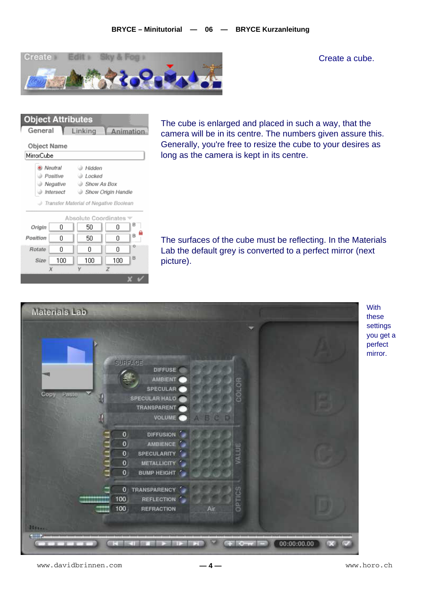

Create a cube.



The cube is enlarged and placed in such a way, that the camera will be in its centre. The numbers given assure this. Generally, you're free to resize the cube to your desires as long as the camera is kept in its centre.

The surfaces of the cube must be reflecting. In the Materials Lab the default grey is converted to a perfect mirror (next picture).



**With** these settings you get a perfect mirror.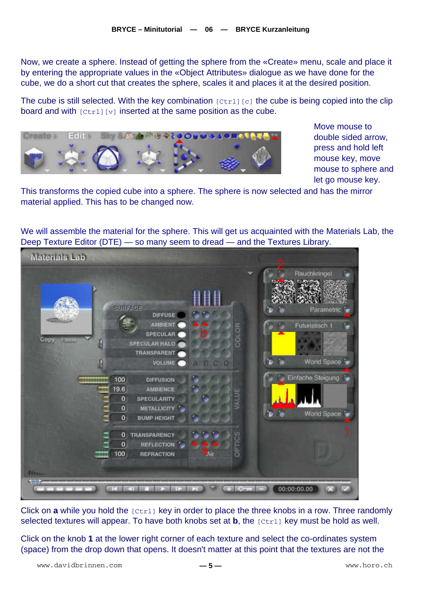Now, we create a sphere. Instead of getting the sphere from the «Create» menu, scale and place it by entering the appropriate values in the «Object Attributes» dialogue as we have done for the cube, we do a short cut that creates the sphere, scales it and places it at the desired position.

The cube is still selected. With the key combination  $[Ctrl] [c]$  the cube is being copied into the clip board and with  $[Ctrl] [v]$  inserted at the same position as the cube.



Move mouse to double sided arrow, press and hold left mouse key, move mouse to sphere and let go mouse key.

This transforms the copied cube into a sphere. The sphere is now selected and has the mirror material applied. This has to be changed now.

We will assemble the material for the sphere. This will get us acquainted with the Materials Lab, the Deep Texture Editor (DTE) — so many seem to dread — and the Textures Library.



Click on **a** while you hold the [Ctrl] key in order to place the three knobs in a row. Three randomly selected textures will appear. To have both knobs set at **b**, the [Ctrl] key must be hold as well.

Click on the knob **1** at the lower right corner of each texture and select the co-ordinates system (space) from the drop down that opens. It doesn't matter at this point that the textures are not the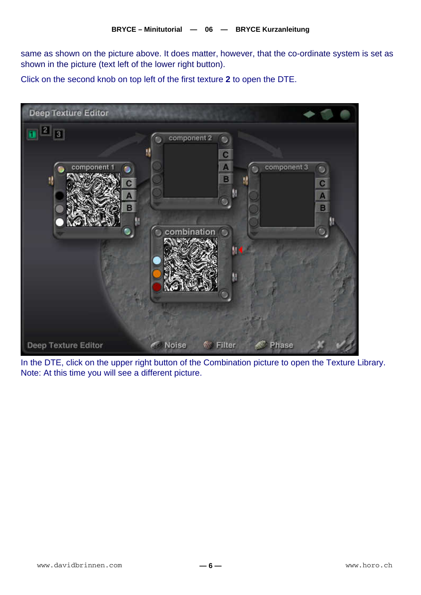same as shown on the picture above. It does matter, however, that the co-ordinate system is set as shown in the picture (text left of the lower right button).

Click on the second knob on top left of the first texture **2** to open the DTE.



In the DTE, click on the upper right button of the Combination picture to open the Texture Library. Note: At this time you will see a different picture.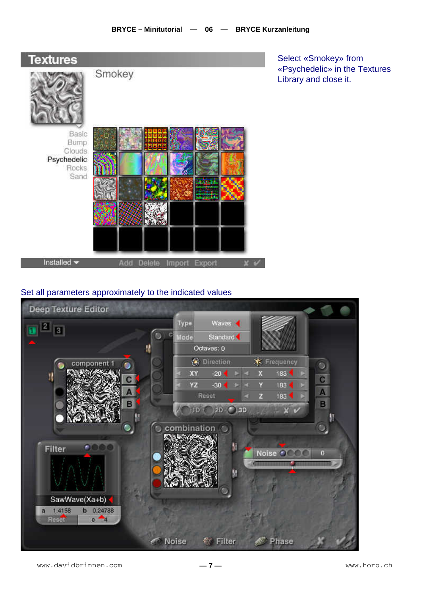

Select «Smokey» from «Psychedelic» in the Textures Library and close it.

## Set all parameters approximately to the indicated values

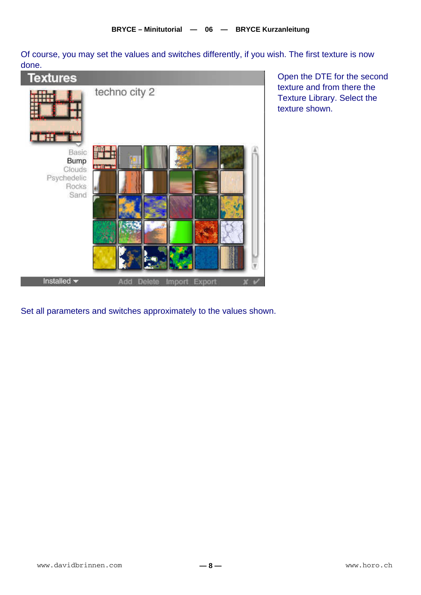Of course, you may set the values and switches differently, if you wish. The first texture is now done.

| <b>Textures</b>                                       |                             |
|-------------------------------------------------------|-----------------------------|
| <b>CHT</b><br>Basic                                   | techno city 2               |
| Bump<br><b>Clouds</b><br>Psychedelic<br>Rocks<br>Sand | <b>THE T</b>                |
| Installed $\blacktriangleright$                       | Import Export<br>Add Delete |

Open the DTE for the second texture and from there the Texture Library. Select the texture shown.

Set all parameters and switches approximately to the values shown.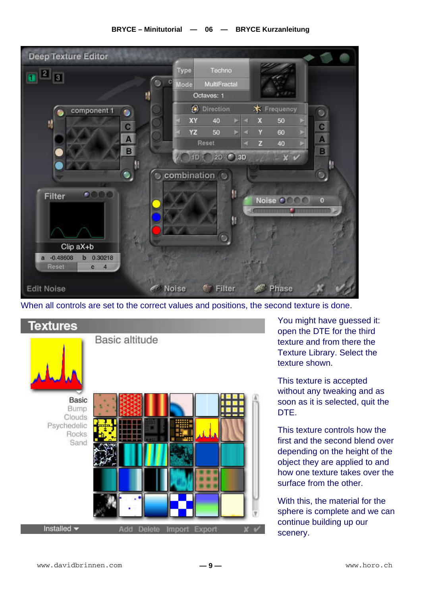## **BRYCE – Minitutorial — 06 — BRYCE Kurzanleitung**



When all controls are set to the correct values and positions, the second texture is done.



You might have guessed it: open the DTE for the third texture and from there the Texture Library. Select the texture shown.

This texture is accepted without any tweaking and as soon as it is selected, quit the DTE.

This texture controls how the first and the second blend over depending on the height of the object they are applied to and how one texture takes over the surface from the other.

With this, the material for the sphere is complete and we can continue building up our scenery.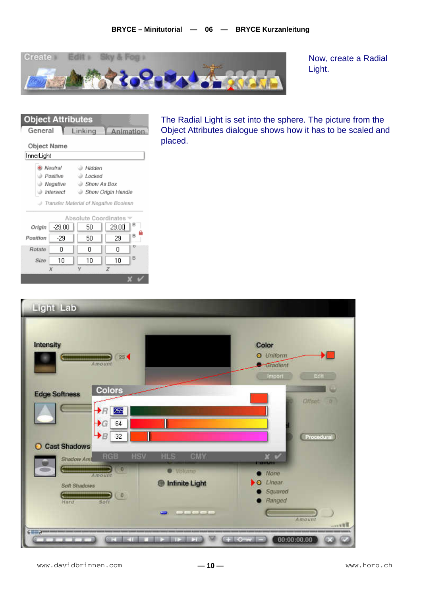

Now, create a Radial Light.

| <b>UDJECT ATTributes</b> |                                       |           |                      |                    |   |  |  |
|--------------------------|---------------------------------------|-----------|----------------------|--------------------|---|--|--|
| General                  |                                       |           | Linking              | Animation          |   |  |  |
|                          |                                       |           |                      |                    |   |  |  |
|                          | Object Name                           |           |                      |                    |   |  |  |
| InnerLight               |                                       |           |                      |                    |   |  |  |
|                          |                                       | Neutral   | A Hidden             |                    |   |  |  |
|                          |                                       | Positive  | ⊜ Locked             |                    |   |  |  |
|                          |                                       | Negative  | Show As Box          |                    |   |  |  |
|                          |                                       | Intersect |                      | Show Origin Handle |   |  |  |
|                          | Transfer Material of Negative Boolean |           |                      |                    |   |  |  |
|                          |                                       |           |                      |                    |   |  |  |
|                          |                                       |           | Absolute Coordinates |                    |   |  |  |
| Origin                   |                                       | $-29.00$  | 50                   | 29.00              |   |  |  |
| Position                 |                                       | -29       | 50                   | 29                 | B |  |  |
| Rotate                   |                                       | ۵         | Ο                    | ۵                  | o |  |  |
|                          | Size                                  | 10        | 10                   | 10                 | B |  |  |
|                          |                                       | v         | v                    |                    |   |  |  |

The Radial Light is set into the sphere. The picture from the Object Attributes dialogue shows how it has to be scaled and placed.

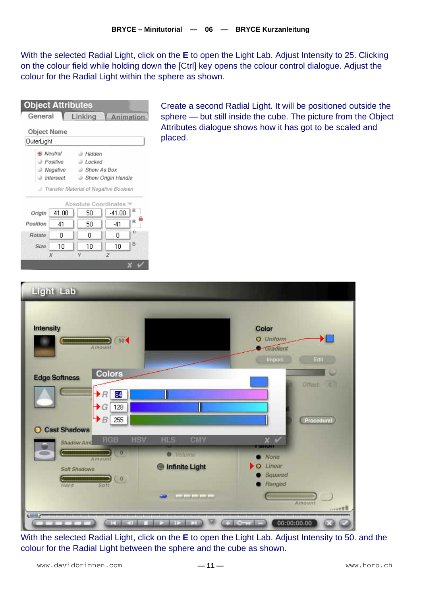With the selected Radial Light, click on the **E** to open the Light Lab. Adjust Intensity to 25. Clicking on the colour field while holding down the [Ctrl] key opens the colour control dialogue. Adjust the colour for the Radial Light within the sphere as shown.

| <b>Object Attributes</b><br>General                           |             | Linking            | Animation |        |  |  |  |
|---------------------------------------------------------------|-------------|--------------------|-----------|--------|--|--|--|
|                                                               | Object Name |                    |           |        |  |  |  |
| OuterLight                                                    |             |                    |           |        |  |  |  |
|                                                               | Neutral     | ⊕ Hidden           |           |        |  |  |  |
|                                                               | Positive    | a Locked           |           |        |  |  |  |
|                                                               | Negative    | <b>Show As Box</b> |           |        |  |  |  |
|                                                               | Intersect   | Show Origin Handle |           |        |  |  |  |
| Transfer Material of Negative Boolean<br>Absolute Coordinates |             |                    |           |        |  |  |  |
| Origin                                                        | 41.00       | 50                 | $-41.00$  | в      |  |  |  |
| Position                                                      | 41          | 50                 | -41       | B      |  |  |  |
| Rotate                                                        | 0           | 0                  | ۵         | o      |  |  |  |
| Size                                                          | 10          | 10                 | 10        | $_{B}$ |  |  |  |
| $\chi$<br>γ<br>z                                              |             |                    |           |        |  |  |  |
|                                                               |             |                    |           |        |  |  |  |

Create a second Radial Light. It will be positioned outside the sphere — but still inside the cube. The picture from the Object Attributes dialogue shows how it has got to be scaled and placed.



With the selected Radial Light, click on the **E** to open the Light Lab. Adjust Intensity to 50. and the colour for the Radial Light between the sphere and the cube as shown.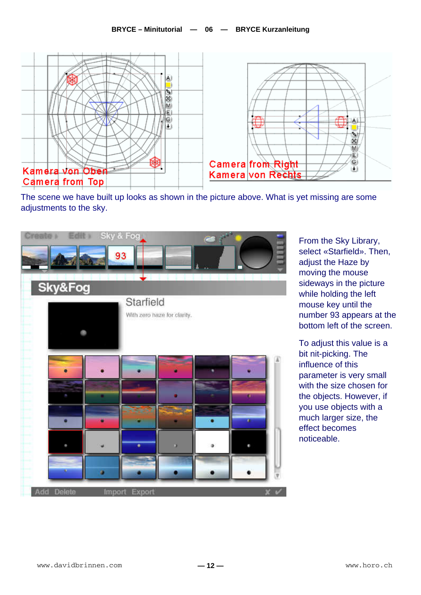

The scene we have built up looks as shown in the picture above. What is yet missing are some adjustments to the sky.



From the Sky Library, select «Starfield». Then, adjust the Haze by moving the mouse sideways in the picture while holding the left mouse key until the number 93 appears at the bottom left of the screen.

To adjust this value is a bit nit-picking. The influence of this parameter is very small with the size chosen for the objects. However, if you use objects with a much larger size, the effect becomes noticeable.